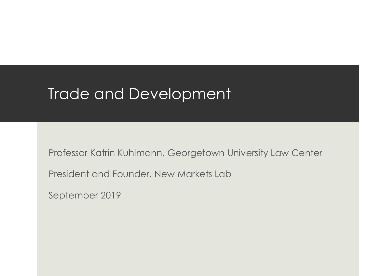### Trade and Development

Professor Katrin Kuhlmann, Georgetown University Law Center

President and Founder, New Markets Lab

September 2019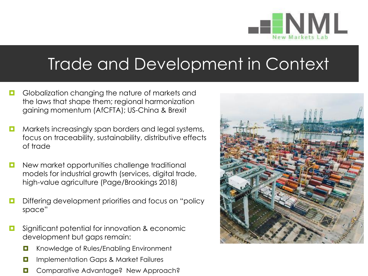

### Trade and Development in Context

- Globalization changing the nature of markets and the laws that shape them; regional harmonization gaining momentum (AfCFTA); US-China & Brexit
- **D** Markets increasingly span borders and legal systems, focus on traceability, sustainability, distributive effects of trade
- **D** New market opportunities challenge traditional models for industrial growth (services, digital trade, high-value agriculture (Page/Brookings 2018)
- **D** Differing development priorities and focus on "policy" space"
- **E** Significant potential for innovation & economic development but gaps remain:
	- **D** Knowledge of Rules/Enabling Environment
	- **D** Implementation Gaps & Market Failures
	- **D** Comparative Advantage? New Approach?

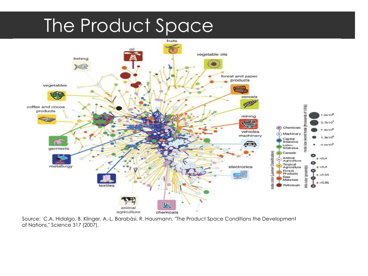# The Product Space



Source: C.A. Hidalgo, B. Klinger, A.-L. Barabási, R. Hausmann, "The Product Space Conditions the Development of Nations," Science 317 (2007).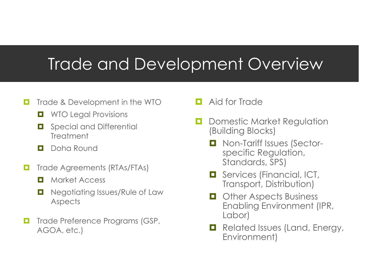### Trade and Development Overview

- Trade & Development in the WTO
	- **NO Legal Provisions**
	- **D** Special and Differential **Treatment**
	- **D** Doha Round
- **T** Trade Agreements (RTAs/FTAs)
	- **D** Market Access
	- **D** Negotiating Issues/Rule of Law **Aspects**
- Trade Preference Programs (GSP, AGOA, etc.)
- **D** Aid for Trade
- Domestic Market Regulation (Building Blocks)
	- Non-Tariff Issues (Sectorspecific Regulation, Standards, SPS)
	- **O** Services (Financial, ICT, Transport, Distribution)
	- **D** Other Aspects Business Enabling Environment (IPR, Labor)
	- **Related Issues (Land, Energy,** Environment)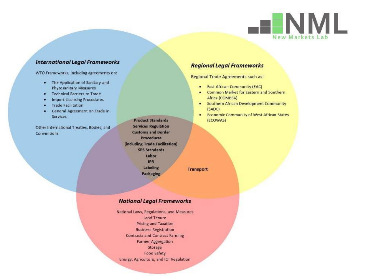

#### **International Legal Frameworks**

WTO Frameworks, including agreements on:

- . The Application of Sanitary and Phytosanitary Measures
- · Technical Barriers to Trade
- **Import Licensing Procedures** ٠
- **Trade Facilitation** ٠
- General Agreement on Trade in ä **Services**

Other International Treaties, Bodies, and Conventions

**Product Standards Services Regulation Customs and Border Procedures** (including Trade Facilitation) **SPS Standards** Labor **IPR** Labeling **Packaging** 

**Transport** 

#### **National Legal Frameworks**

National Laws, Regulations, and Measures Land Tenure **Pricing and Taxation Business Registration Contracts and Contract Farming Farmer Aggregation** Storage Food Safety Energy, Agriculture, and ICT Regulation

#### **Regional Legal Frameworks**

**Regional Trade Agreements such as:** 

- East African Community (EAC)
- Common Market for Eastern and Southern ٠ Africa (COMESA)
- Southern African Development Community ٠ (SADC)
- **Economic Community of West African States** ٠ (ECOWAS)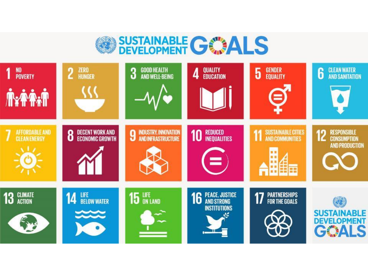# **SUSTAINABLE GOALS**

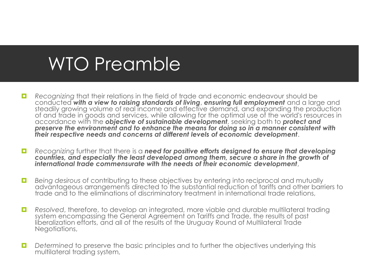# WTO Preamble

- **Recognizing that their relations in the field of trade and economic endeavour should be** conducted *with a view to raising standards of living*, *ensuring full employment* and a large and steadily growing volume of real income and effective demand, and expanding the production of and trade in goods and services, while allowing for the optimal use of the world's resources in accordance with the *objective of sustainable development*, seeking both to *protect and preserve the environment and to enhance the means for doing so in a manner consistent with their respective needs and concerns at different levels of economic development*.
- **Recognizing further that there is a need for positive efforts designed to ensure that developing** *countries, and especially the least developed among them, secure a share in the growth of international trade commensurate with the needs of their economic development*,
- **Being desirous of contributing to these objectives by entering into reciprocal and mutually** advantageous arrangements directed to the substantial reduction of tariffs and other barriers to trade and to the eliminations of discriminatory treatment in international trade relations,
- **Resolved, therefore, to develop an integrated, more viable and durable multilateral trading** system encompassing the General Agreement on Tariffs and Trade, the results of past liberalization efforts, and all of the results of the Uruguay Round of Multilateral Trade Negotiations,
- **D** Determined to preserve the basic principles and to further the objectives underlying this multilateral trading system,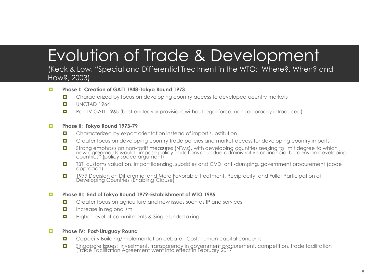## Evolution of Trade & Development

#### (Keck & Low, "Special and Differential Treatment in the WTO: Where?, When? and How?, 2003)

#### **Phase I: Creation of GATT 1948-Tokyo Round 1973**

- **D** Characterized by focus on developing country access to developed country markets
- $\Box$  UNCTAD 1964
- **D** Part IV GATT 1965 (best endeavor provisions without legal force; non-reciprocity introduced)

#### **Phase II: Tokyo Round 1973-79**

- **D** Characterized by export orientation instead of import substitution
- **D** Greater focus on developing country trade policies and market access for developing country imports
- **D** Strong emphasis on non-tariff measures (NTMs), with developing countries seeking to limit degree to which new agreements would "impose policy limitations or undue administrative or financial burdens on developing countries" (policy space argument)
- TBT, customs valuation, import licensing, subsidies and CVD, anti-dumping, government procurement (code approach)
- 1979 Decision on Differential and More Favorable Treatment, Reciprocity, and Fuller Participation of Developing Countries (Enabling Clause)

#### **Phase III: End of Tokyo Round 1979-Establishment of WTO 1995**

- Greater focus on agriculture and new issues such as IP and services
- **Increase in regionalism**
- **Higher level of commitments & Single Undertaking**

#### **Phase IV: Post-Uruguay Round**

- **D** Capacity Building/Implementation debate: Cost, human capital concerns
- **D** Singapore Issues: investment, transparency in government procurement, competition, trade facilitation (Trade Facilitation Agreement went into effect in February 2017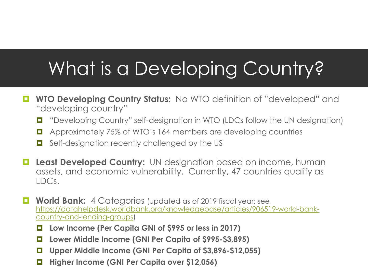# What is a Developing Country?

- **WTO Developing Country Status:** No WTO definition of "developed" and "developing country"
	- "Developing Country" self-designation in WTO (LDCs follow the UN designation)
	- **E** Approximately 75% of WTO's 164 members are developing countries
	- Self-designation recently challenged by the US
- **Least Developed Country:** UN designation based on income, human assets, and economic vulnerability. Currently, 47 countries qualify as LDCs.
- **H** World Bank: 4 Categories (updated as of 2019 fiscal year; see [https://datahelpdesk.worldbank.org/knowledgebase/articles/906519-world-bank](https://datahelpdesk.worldbank.org/knowledgebase/articles/906519-world-bank-country-and-lending-groups)country-and-lending-groups)
	- **Low Income (Per Capita GNI of \$995 or less in 2017)**
	- **Lower Middle Income (GNI Per Capita of \$995-\$3,895)**
	- **Upper Middle Income (GNI Per Capita of \$3,896-\$12,055)**
	- **Higher Income (GNI Per Capita over \$12,056)**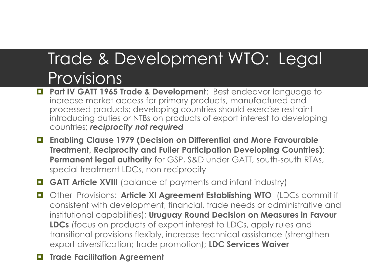### Trade & Development WTO: Legal Provisions

- **Part IV GATT 1965 Trade & Development:** Best endeavor language to increase market access for primary products, manufactured and processed products; developing countries should exercise restraint introducing duties or NTBs on products of export interest to developing countries; *reciprocity not required*
- **Enabling Clause 1979 (Decision on Differential and More Favourable Treatment, Reciprocity and Fuller Participation Developing Countries)**: **Permanent legal authority** for GSP, S&D under GATT, south-south RTAs, special treatment LDCs, non-reciprocity

**GATT Article XVIII** (balance of payments and infant industry)

 Other Provisions: **Article XI Agreement Establishing WTO** (LDCs commit if consistent with development, financial, trade needs or administrative and institutional capabilities); **Uruguay Round Decision on Measures in Favour LDCs** (focus on products of export interest to LDCs, apply rules and transitional provisions flexibly, increase technical assistance (strengthen export diversification; trade promotion); **LDC Services Waiver**

**Trade Facilitation Agreement**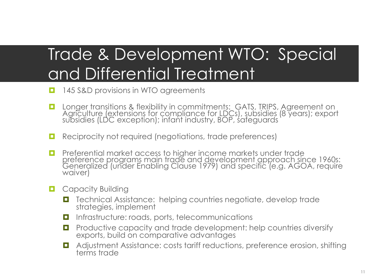# Trade & Development WTO: Special and Differential Treatment

- **145 S&D provisions in WTO agreements**
- **D** Longer transitions & flexibility in commitments: GATS, TRIPS, Agreement on Agriculture (extensions for compliance for LDCs), subsidies (8 years); export subsidies (LDC exception); infant industry, BOP, safeguards
- **Reciprocity not required (negotiations, trade preferences)**
- **Preferential market access to higher income markets under trade** preference programs main trade and development approach since 1960s: Generalized (under Enabling Clause 1979) and specific (e.g. AGOA, require waiver)
- **Q** Capacity Building
	- Technical Assistance: helping countries negotiate, develop trade strategies, implement
	- $\Box$  Infrastructure: roads, ports, telecommunications
	- **Productive capacity and trade development: help countries diversify** exports, build on comparative advantages
	- **D** Adjustment Assistance: costs tariff reductions, preference erosion, shifting terms trade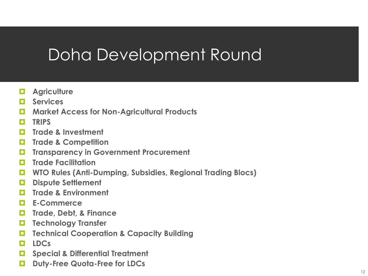## Doha Development Round

- **Agriculture**
- **Services**
- **Market Access for Non-Agricultural Products**
- **TRIPS**
- **Trade & Investment**
- **Trade & Competition**
- **Transparency in Government Procurement**
- **Trade Facilitation**
- **WTO Rules (Anti-Dumping, Subsidies, Regional Trading Blocs)**
- **Dispute Settlement**
- **Trade & Environment**
- **E-Commerce**
- **Trade, Debt, & Finance**
- **Technology Transfer**
- **Technical Cooperation & Capacity Building**
- **LDCs**
- **Special & Differential Treatment**
- **Duty-Free Quota-Free for LDCs**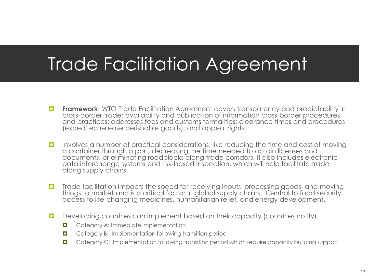# Trade Facilitation Agreement

- **Framework:** WTO Trade Facilitation Agreement covers transparency and predictability in cross-border trade; availability and publication of information cross-border procedures and practices; addresses fees and customs formalities; clearance times and procedures (expedited release perishable goods); and appeal rights.
- Involves a number of practical considerations, like reducing the time and cost of moving a container through a port, decreasing the time needed to obtain licenses and documents, or eliminating roadblocks along trade corridors. It also includes electronic data interchange systems and risk-based inspection, which will help facilitate trade along supply chains.
- **T** Trade facilitation impacts the speed for receiving inputs, processing goods, and moving things to market and is a critical factor in global supply chains. Central to food security, access to life-changing medicines, humanitarian relief, and energy development.
- Developing countries can implement based on their capacity (countries notify)
	- **D** Category A: Immediate implementation
	- **D** Category B: Implementation following transition period
	- **D** Category C: Implementation following transition period which require capacity building support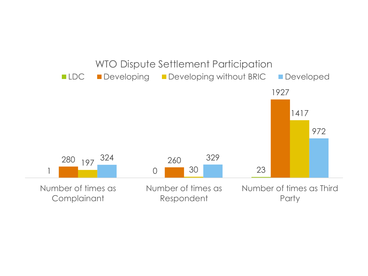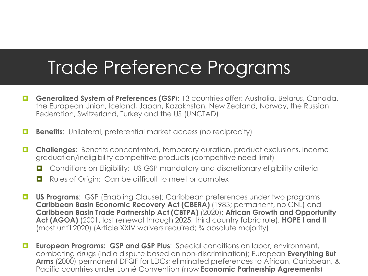# Trade Preference Programs

- **Generalized System of Preferences (GSP):** 13 countries offer: Australia, Belarus, Canada, the European Union, Iceland, Japan, Kazakhstan, New Zealand, Norway, the Russian Federation, Switzerland, Turkey and the US (UNCTAD)
- **Benefits:** Unilateral, preferential market access (no reciprocity)
- **Challenges**: Benefits concentrated, temporary duration, product exclusions, income graduation/ineligibility competitive products (competitive need limit)
	- $\Box$  Conditions on Eligibility: US GSP mandatory and discretionary eligibility criteria
	- Rules of Origin: Can be difficult to meet or complex
- **L US Programs:** GSP (Enabling Clause); Caribbean preferences under two programs **Caribbean Basin Economic Recovery Act (CBERA)** (1983; permanent, no CNL) and **Caribbean Basin Trade Partnership Act (CBTPA)** (2020); **African Growth and Opportunity Act (AGOA)** (2001, last renewal through 2025; third country fabric rule); **HOPE I and II**  (most until 2020) (Article XXIV waivers required; ¾ absolute majority)
- **European Programs: GSP and GSP Plus:** Special conditions on labor, environment, combating drugs (India dispute based on non-discrimination); European **Everything But Arms** (2000) permanent DFQF for LDCs; eliminated preferences to African, Caribbean, & Pacific countries under Lomé Convention (now **Economic Partnership Agreements**)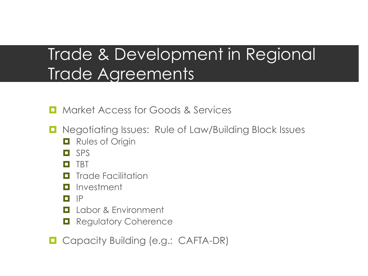## Trade & Development in Regional Trade Agreements

**E** Market Access for Goods & Services

- $\Box$  Negotiating Issues: Rule of Law/Building Block Issues
	- **Q** Rules of Origin
	- $\Box$  SPS
	- **D** TBT
	- **<u>Eleccilitation</u>**
	- **I** Investment
	- $\Box$   $\mathsf{P}$
	- **Labor & Environment**
	- **Regulatory Coherence**
- **Q** Capacity Building (e.g.: CAFTA-DR)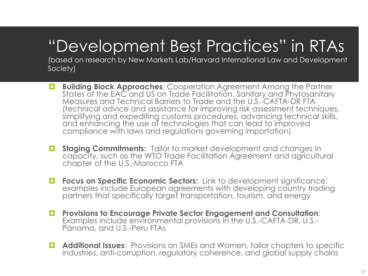# "Development Best Practices" in RTAs

(based on research by New Markets Lab/Harvard International Law and Development Society)

- **Building Block Approaches:** Cooperation Agreement Among the Partner States of the EAC and US on Trade Facilitation, Sanitary and Phytosanitary Measures and Technical Barriers to Trade and the U.S.-CAFTA-DR FTA (technical advice and assistance for improving risk assessment techniques, simplifying and expediting customs procedures, advancing technical skills, and enhancing the use of technologies that can lead to improved compliance with laws and regulations governing importation)
- **E** Staging Commitments: Tailor to market development and changes in capacity, such as the WTO Trade Facilitation Agreement and agricultural chapter of the U.S.-Morocco FTA
- **Figure 3 Focus on Specific Economic Sectors:** Link to development significance; examples include European agreements with developing country trading partners that specifically target transportation, tourism, and energy
- **Provisions to Encourage Private Sector Engagement and Consultation**: Examples include environmental provisions in the U.S.-CAFTA-DR, U.S.- Panama, and U.S.-Peru FTAs
- **Additional Issues**: Provisions on SMEs and Women, tailor chapters to specific industries, anti-corruption, regulatory coherence, and global supply chains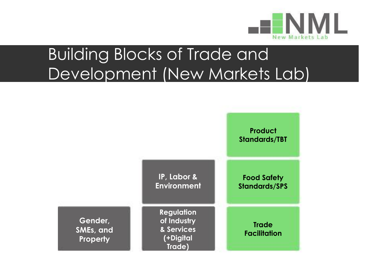

## Building Blocks of Trade and Development (New Markets Lab)

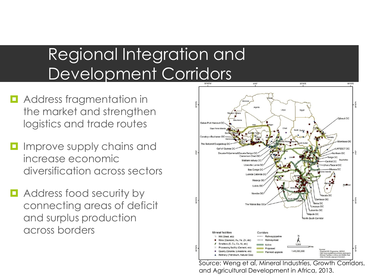### Regional Integration and Development Corridors

- **D** Address fragmentation in the market and strengthen logistics and trade routes
- **I** Improve supply chains and increase economic diversification across sectors
- **E** Address food security by connecting areas of deficit and surplus production across borders



Source: Weng et al, Mineral Industries, Growth Corridors, and Agricultural Development in Africa, 2013.